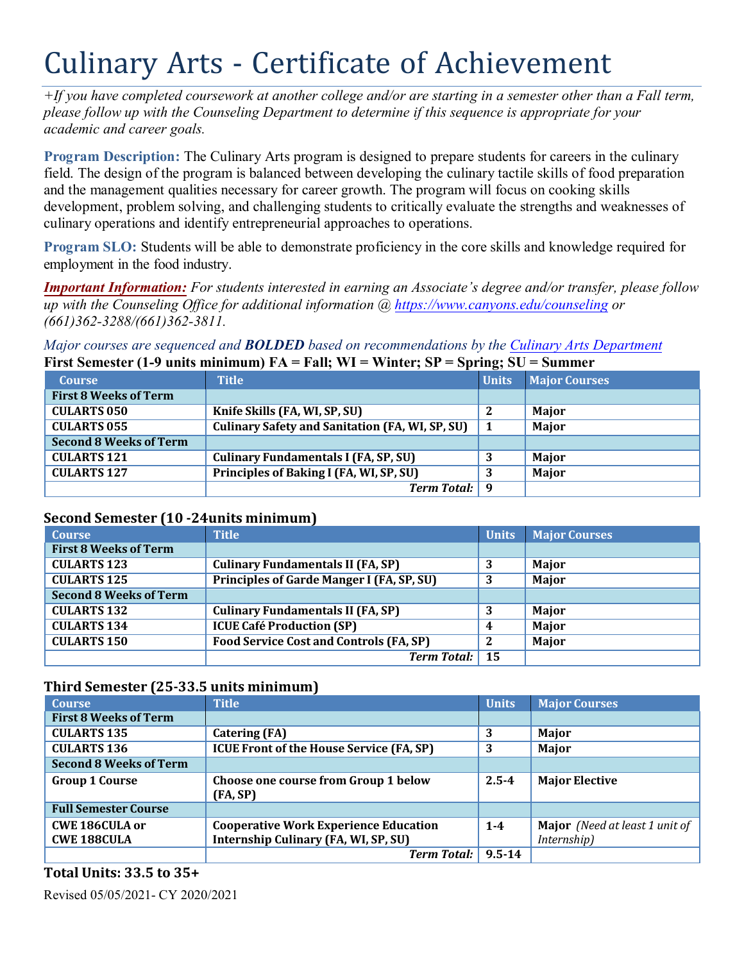# Culinary Arts - Certificate of Achievement

*+If you have completed coursework at another college and/or are starting in a semester other than a Fall term, please follow up with the Counseling Department to determine if this sequence is appropriate for your academic and career goals.* 

**Program Description:** The Culinary Arts program is designed to prepare students for careers in the culinary field. The design of the program is balanced between developing the culinary tactile skills of food preparation and the management qualities necessary for career growth. The program will focus on cooking skills development, problem solving, and challenging students to critically evaluate the strengths and weaknesses of culinary operations and identify entrepreneurial approaches to operations.

 **Program SLO:** Students will be able to demonstrate proficiency in the core skills and knowledge required for employment in the food industry.

*Important Information: For students interested in earning an Associate's degree and/or transfer, please follow up with the Counseling Office for additional information @<https://www.canyons.edu/counseling> or (661)362-3288/(661)362-3811.* 

*Major courses are sequenced and BOLDED based on recommendations by the Culinary Arts Department*  **First Semester (1-9 units minimum) FA = Fall; WI = Winter; SP = Spring; SU = Summer** 

| <b>Course</b>                 | <b>Title</b>                                           | Units | <b>Major Courses</b> |
|-------------------------------|--------------------------------------------------------|-------|----------------------|
| <b>First 8 Weeks of Term</b>  |                                                        |       |                      |
| <b>CULARTS 050</b>            | Knife Skills (FA, WI, SP, SU)                          |       | Major                |
| <b>CULARTS 055</b>            | <b>Culinary Safety and Sanitation (FA, WI, SP, SU)</b> |       | Major                |
| <b>Second 8 Weeks of Term</b> |                                                        |       |                      |
| <b>CULARTS 121</b>            | <b>Culinary Fundamentals I (FA, SP, SU)</b>            | -3    | Major                |
| <b>CULARTS 127</b>            | Principles of Baking I (FA, WI, SP, SU)                | 3     | Major                |
|                               | <b>Term Total:</b> 9                                   |       |                      |

## **Second Semester (10 -24units minimum)**

| <b>Course</b>                 | <b>Title</b>                                   | <b>Units</b> | <b>Major Courses</b> |
|-------------------------------|------------------------------------------------|--------------|----------------------|
| <b>First 8 Weeks of Term</b>  |                                                |              |                      |
| <b>CULARTS 123</b>            | <b>Culinary Fundamentals II (FA, SP)</b>       | 3            | Major                |
| <b>CULARTS 125</b>            | Principles of Garde Manger I (FA, SP, SU)      |              | Major                |
| <b>Second 8 Weeks of Term</b> |                                                |              |                      |
| <b>CULARTS 132</b>            | <b>Culinary Fundamentals II (FA, SP)</b>       | 3            | Major                |
| <b>CULARTS 134</b>            | <b>ICUE Café Production (SP)</b>               | 4            | Major                |
| <b>CULARTS 150</b>            | <b>Food Service Cost and Controls (FA, SP)</b> | $\mathbf{2}$ | Major                |
|                               | <b>Term Total:</b> 15                          |              |                      |

## **Third Semester (25-33.5 units minimum)**

| <b>Course</b>                 | <b>Title</b>                                    | <b>Units</b> | <b>Major Courses</b>                  |
|-------------------------------|-------------------------------------------------|--------------|---------------------------------------|
| <b>First 8 Weeks of Term</b>  |                                                 |              |                                       |
| <b>CULARTS 135</b>            | <b>Catering (FA)</b>                            | 3            | Major                                 |
| <b>CULARTS 136</b>            | <b>ICUE Front of the House Service (FA, SP)</b> |              | Major                                 |
| <b>Second 8 Weeks of Term</b> |                                                 |              |                                       |
| <b>Group 1 Course</b>         | Choose one course from Group 1 below            | $2.5 - 4$    | <b>Major Elective</b>                 |
|                               | (FA, SP)                                        |              |                                       |
| <b>Full Semester Course</b>   |                                                 |              |                                       |
| <b>CWE 186CULA or</b>         | <b>Cooperative Work Experience Education</b>    | $1 - 4$      | <b>Major</b> (Need at least 1 unit of |
| <b>CWE 188CULA</b>            | Internship Culinary (FA, WI, SP, SU)            |              | Internship)                           |
|                               | <b>Term Total:</b>                              | $9.5 - 14$   |                                       |

# **Total Units: 33.5 to 35+**

Revised 05/05/2021- CY 2020/2021